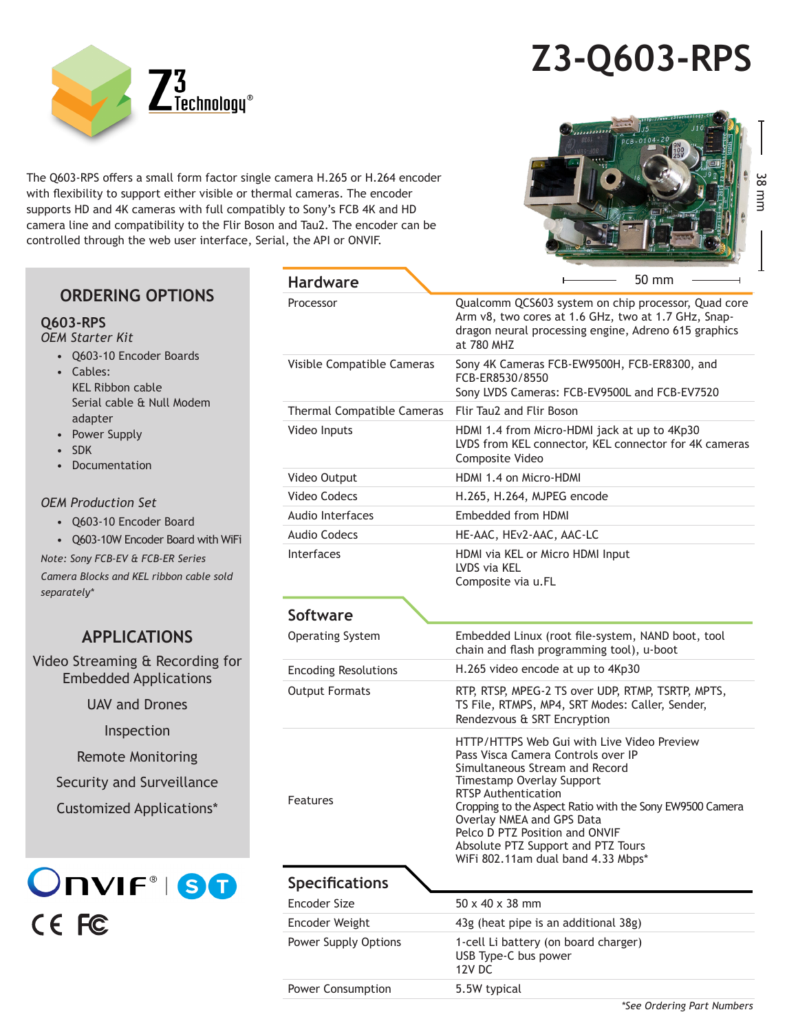# **Z3-Q603-RPS**



The Q603-RPS offers a small form factor single camera H.265 or H.264 encoder with flexibility to support either visible or thermal cameras. The encoder supports HD and 4K cameras with full compatibly to Sony's FCB 4K and HD camera line and compatibility to the Flir Boson and Tau2. The encoder can be controlled through the web user interface, Serial, the API or ONVIF.



### **ORDERING OPTIONS**

#### **Q603-RPS**

*OEM Starter Kit*

- Q603-10 Encoder Boards
- Cables: KEL Ribbon cable Serial cable & Null Modem adapter
- Power Supply
- SDK
- Documentation

#### *OEM Production Set*

- Q603-10 Encoder Board
- Q603-10W Encoder Board with WiFi

*Note: Sony FCB-EV & FCB-ER Series* 

*Camera Blocks and KEL ribbon cable sold separately\**

## **APPLICATIONS**

Video Streaming & Recording for Embedded Applications

UAV and Drones

Inspection

Remote Monitoring

Security and Surveillance

Customized Applications\*

**ONVIF®IST** CE FC

| <b>Hardware</b>             | $50 \text{ mm}$                                                                                                                                                                                                                                                                                                                                                                      |
|-----------------------------|--------------------------------------------------------------------------------------------------------------------------------------------------------------------------------------------------------------------------------------------------------------------------------------------------------------------------------------------------------------------------------------|
| Processor                   | Qualcomm QCS603 system on chip processor, Quad core<br>Arm v8, two cores at 1.6 GHz, two at 1.7 GHz, Snap-<br>dragon neural processing engine, Adreno 615 graphics<br>at 780 MHZ                                                                                                                                                                                                     |
| Visible Compatible Cameras  | Sony 4K Cameras FCB-EW9500H, FCB-ER8300, and<br>FCB-ER8530/8550<br>Sony LVDS Cameras: FCB-EV9500L and FCB-EV7520                                                                                                                                                                                                                                                                     |
| Thermal Compatible Cameras  | Flir Tau2 and Flir Boson                                                                                                                                                                                                                                                                                                                                                             |
| Video Inputs                | HDMI 1.4 from Micro-HDMI jack at up to 4Kp30<br>LVDS from KEL connector, KEL connector for 4K cameras<br>Composite Video                                                                                                                                                                                                                                                             |
| Video Output                | HDMI 1.4 on Micro-HDMI                                                                                                                                                                                                                                                                                                                                                               |
| Video Codecs                | H.265, H.264, MJPEG encode                                                                                                                                                                                                                                                                                                                                                           |
| <b>Audio Interfaces</b>     | Embedded from HDMI                                                                                                                                                                                                                                                                                                                                                                   |
| <b>Audio Codecs</b>         | HE-AAC, HEv2-AAC, AAC-LC                                                                                                                                                                                                                                                                                                                                                             |
| <b>Interfaces</b>           | HDMI via KEL or Micro HDMI Input<br>LVDS via KEL<br>Composite via u.FL                                                                                                                                                                                                                                                                                                               |
| Software                    |                                                                                                                                                                                                                                                                                                                                                                                      |
| <b>Operating System</b>     | Embedded Linux (root file-system, NAND boot, tool<br>chain and flash programming tool), u-boot                                                                                                                                                                                                                                                                                       |
| <b>Encoding Resolutions</b> | H.265 video encode at up to 4Kp30                                                                                                                                                                                                                                                                                                                                                    |
| <b>Output Formats</b>       | RTP, RTSP, MPEG-2 TS over UDP, RTMP, TSRTP, MPTS,<br>TS File, RTMPS, MP4, SRT Modes: Caller, Sender,<br>Rendezvous & SRT Encryption                                                                                                                                                                                                                                                  |
| Features                    | HTTP/HTTPS Web Gui with Live Video Preview<br>Pass Visca Camera Controls over IP<br>Simultaneous Stream and Record<br>Timestamp Overlay Support<br><b>RTSP Authentication</b><br>Cropping to the Aspect Ratio with the Sony EW9500 Camera<br>Overlay NMEA and GPS Data<br>Pelco D PTZ Position and ONVIF<br>Absolute PTZ Support and PTZ Tours<br>WiFi 802.11am dual band 4.33 Mbps* |
| <b>Specifications</b>       |                                                                                                                                                                                                                                                                                                                                                                                      |
| Encoder Size                | $50 \times 40 \times 38$ mm                                                                                                                                                                                                                                                                                                                                                          |
| Encoder Weight              | 43g (heat pipe is an additional 38g)                                                                                                                                                                                                                                                                                                                                                 |
| Power Supply Options        | 1-cell Li battery (on board charger)<br>USB Type-C bus power<br>12V DC                                                                                                                                                                                                                                                                                                               |
| Power Consumption           | 5.5W typical                                                                                                                                                                                                                                                                                                                                                                         |
|                             | *See Ordering Part Numbers                                                                                                                                                                                                                                                                                                                                                           |